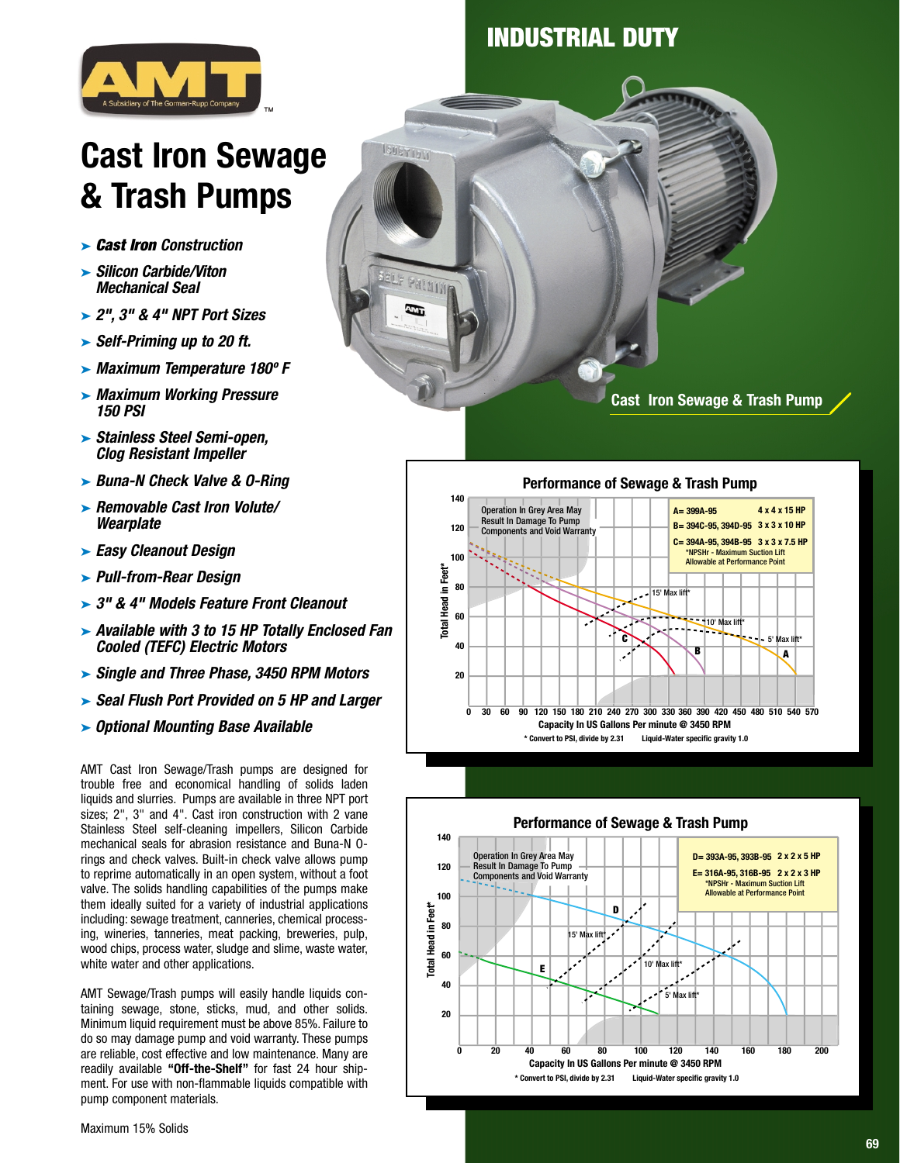## **INDUSTRIAL DUTY**

**ISUSY IVIA** 

ann a



# **Cast Iron Sewage & Trash Pumps**

- ➤ **Cast Iron Construction**
- ➤ **Silicon Carbide/Viton Mechanical Seal**
- ➤ **2", 3" & 4" NPT Port Sizes**
- ➤ **Self-Priming up to 20 ft.**
- ➤ **Maximum Temperature 180º F**
- ➤ **Maximum Working Pressure 150 PSI**
- ➤ **Stainless Steel Semi-open, Clog Resistant Impeller**
- ➤ **Buna-N Check Valve & O-Ring**
- ➤ **Removable Cast Iron Volute/ Wearplate**
- ➤ **Easy Cleanout Design**
- ➤ **Pull-from-Rear Design**
- ➤ **3" & 4" Models Feature Front Cleanout**
- ➤ **Available with 3 to 15 HP Totally Enclosed Fan Cooled (TEFC) Electric Motors**
- ➤ **Single and Three Phase, 3450 RPM Motors**
- ➤ **Seal Flush Port Provided on 5 HP and Larger**
- ➤ **Optional Mounting Base Available**

AMT Cast Iron Sewage/Trash pumps are designed for trouble free and economical handling of solids laden liquids and slurries. Pumps are available in three NPT port sizes; 2", 3" and 4". Cast iron construction with 2 vane Stainless Steel self-cleaning impellers, Silicon Carbide mechanical seals for abrasion resistance and Buna-N Orings and check valves. Built-in check valve allows pump to reprime automatically in an open system, without a foot valve. The solids handling capabilities of the pumps make them ideally suited for a variety of industrial applications including: sewage treatment, canneries, chemical processing, wineries, tanneries, meat packing, breweries, pulp, wood chips, process water, sludge and slime, waste water, white water and other applications.

AMT Sewage/Trash pumps will easily handle liquids containing sewage, stone, sticks, mud, and other solids. Minimum liquid requirement must be above 85%. Failure to do so may damage pump and void warranty. These pumps are reliable, cost effective and low maintenance. Many are readily available **"Off-the-Shelf"** for fast 24 hour shipment. For use with non-flammable liquids compatible with pump component materials.

**Performance of Sewage & Trash Pump 140 A= 399A-95 4 x 4 x 15 HP** Operation In Grey Area May Result In Damage To Pump Components and Void Warranty **B= 394C-95, 394D-95 3 x 3 x 10 HP 120 C= 394A-95, 394B-95 3 x 3 x 7.5 HP** \*NPSHr - Maximum Suction Lift **100** Allowable at Performance Point **Total Head in Feet\*** Head in Feet<sup>\*</sup> **80** 15' Max lift\* **60** Total 10' Max lift\* **C** Max li **40 B A 20 0 30 60 90 120 150 180 210 240 270 300 330 360 390 420 450 480 510 540 570 Capacity In US Gallons Per minute @ 3450 RPM \* Convert to PSI, divide by 2.31 Liquid-Water specific gravity 1.0**



**Cast Iron Sewage & Trash Pump** 

Maximum 15% Solids